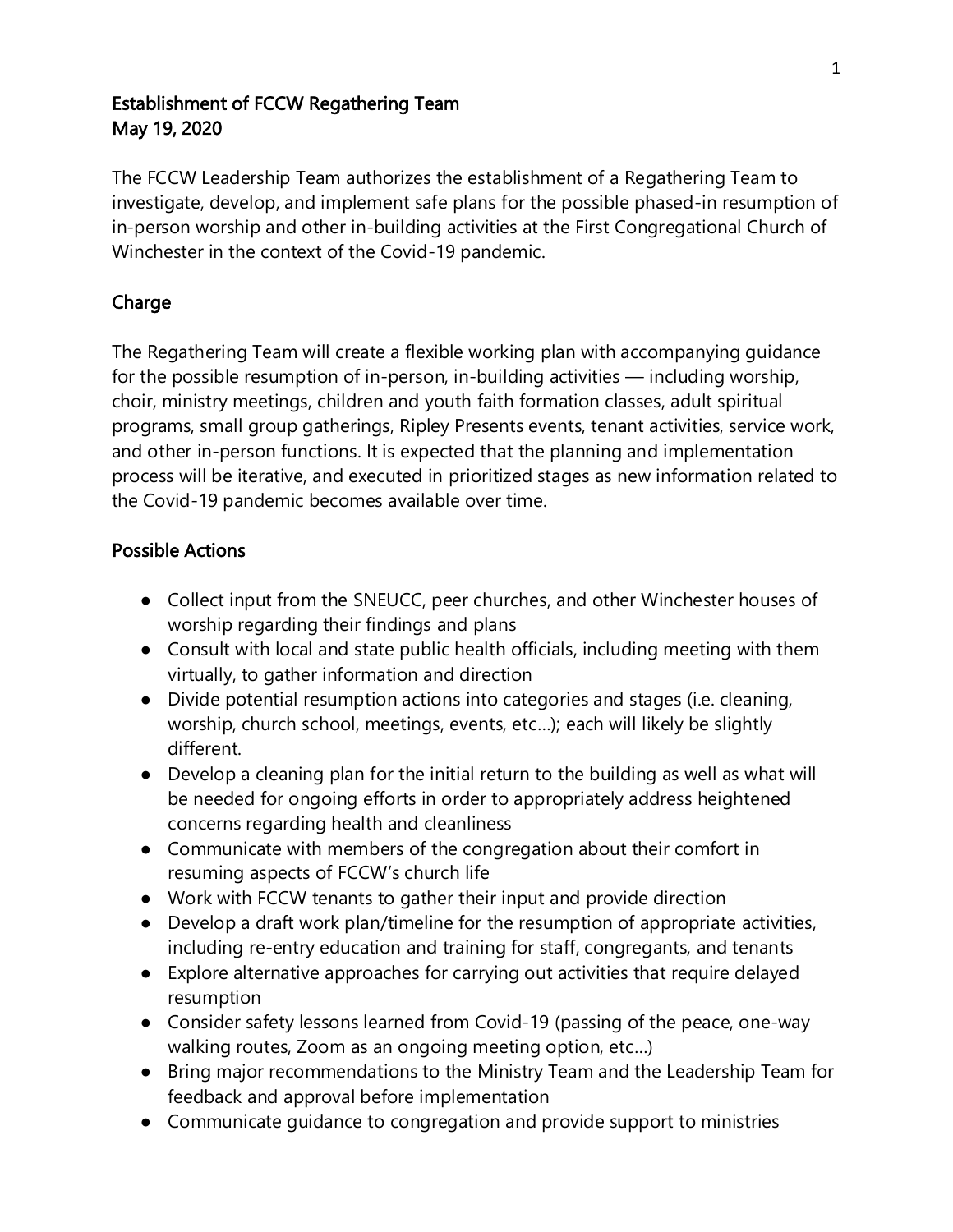### Establishment of FCCW Regathering Team May 19, 2020

The FCCW Leadership Team authorizes the establishment of a Regathering Team to investigate, develop, and implement safe plans for the possible phased-in resumption of in-person worship and other in-building activities at the First Congregational Church of Winchester in the context of the Covid-19 pandemic.

# Charge

The Regathering Team will create a flexible working plan with accompanying guidance for the possible resumption of in-person, in-building activities — including worship, choir, ministry meetings, children and youth faith formation classes, adult spiritual programs, small group gatherings, Ripley Presents events, tenant activities, service work, and other in-person functions. It is expected that the planning and implementation process will be iterative, and executed in prioritized stages as new information related to the Covid-19 pandemic becomes available over time.

# Possible Actions

- Collect input from the SNEUCC, peer churches, and other Winchester houses of worship regarding their findings and plans
- Consult with local and state public health officials, including meeting with them virtually, to gather information and direction
- Divide potential resumption actions into categories and stages (i.e. cleaning, worship, church school, meetings, events, etc…); each will likely be slightly different.
- Develop a cleaning plan for the initial return to the building as well as what will be needed for ongoing efforts in order to appropriately address heightened concerns regarding health and cleanliness
- Communicate with members of the congregation about their comfort in resuming aspects of FCCW's church life
- Work with FCCW tenants to gather their input and provide direction
- Develop a draft work plan/timeline for the resumption of appropriate activities, including re-entry education and training for staff, congregants, and tenants
- Explore alternative approaches for carrying out activities that require delayed resumption
- Consider safety lessons learned from Covid-19 (passing of the peace, one-way walking routes, Zoom as an ongoing meeting option, etc…)
- Bring major recommendations to the Ministry Team and the Leadership Team for feedback and approval before implementation
- Communicate guidance to congregation and provide support to ministries